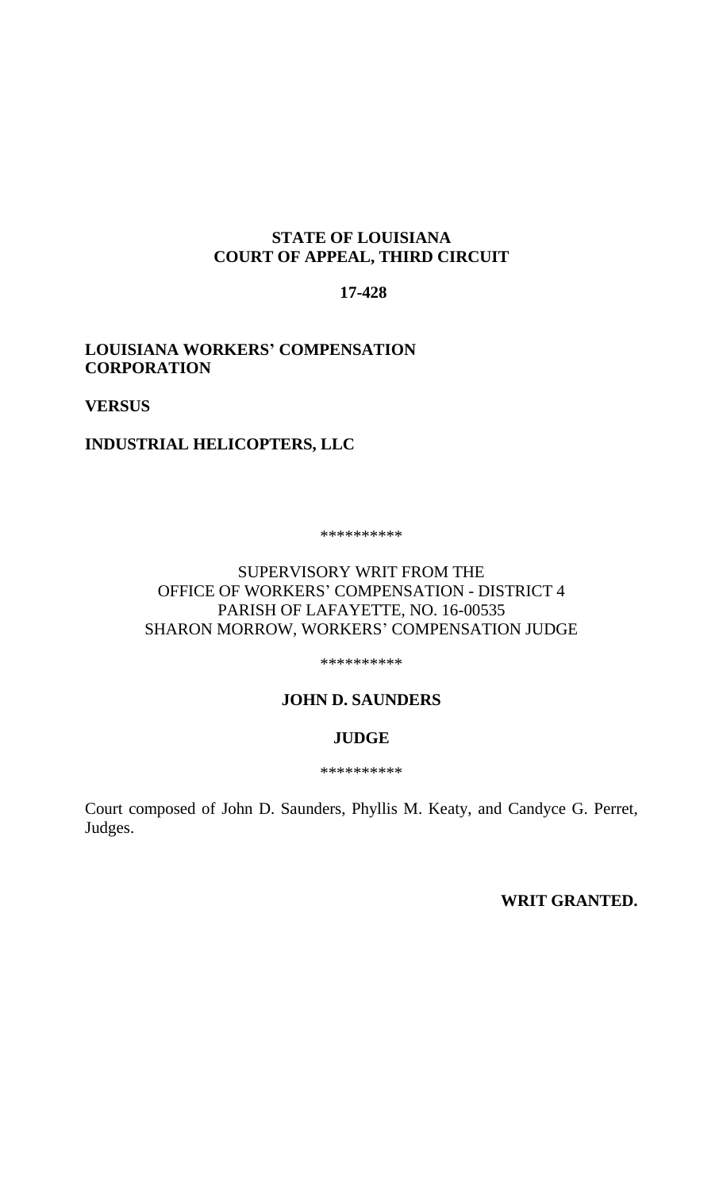# **STATE OF LOUISIANA COURT OF APPEAL, THIRD CIRCUIT**

# **17-428**

# **LOUISIANA WORKERS' COMPENSATION CORPORATION**

**VERSUS** 

# **INDUSTRIAL HELICOPTERS, LLC**

\*\*\*\*\*\*\*\*\*\*

# SUPERVISORY WRIT FROM THE OFFICE OF WORKERS' COMPENSATION - DISTRICT 4 PARISH OF LAFAYETTE, NO. 16-00535 SHARON MORROW, WORKERS' COMPENSATION JUDGE

\*\*\*\*\*\*\*\*\*\*

### **JOHN D. SAUNDERS**

#### **JUDGE**

\*\*\*\*\*\*\*\*\*\*

Court composed of John D. Saunders, Phyllis M. Keaty, and Candyce G. Perret, Judges.

**WRIT GRANTED.**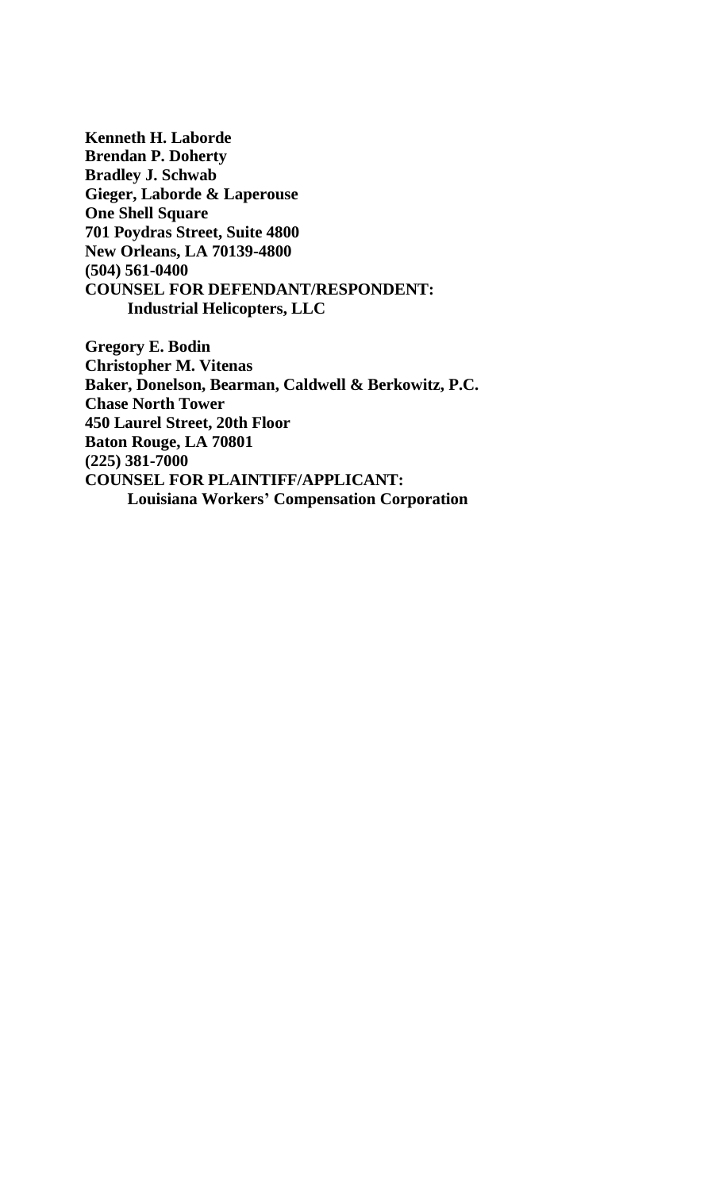**Kenneth H. Laborde Brendan P. Doherty Bradley J. Schwab Gieger, Laborde & Laperouse One Shell Square 701 Poydras Street, Suite 4800 New Orleans, LA 70139-4800 (504) 561-0400 COUNSEL FOR DEFENDANT/RESPONDENT: Industrial Helicopters, LLC**

**Gregory E. Bodin Christopher M. Vitenas Baker, Donelson, Bearman, Caldwell & Berkowitz, P.C. Chase North Tower 450 Laurel Street, 20th Floor Baton Rouge, LA 70801 (225) 381-7000 COUNSEL FOR PLAINTIFF/APPLICANT: Louisiana Workers' Compensation Corporation**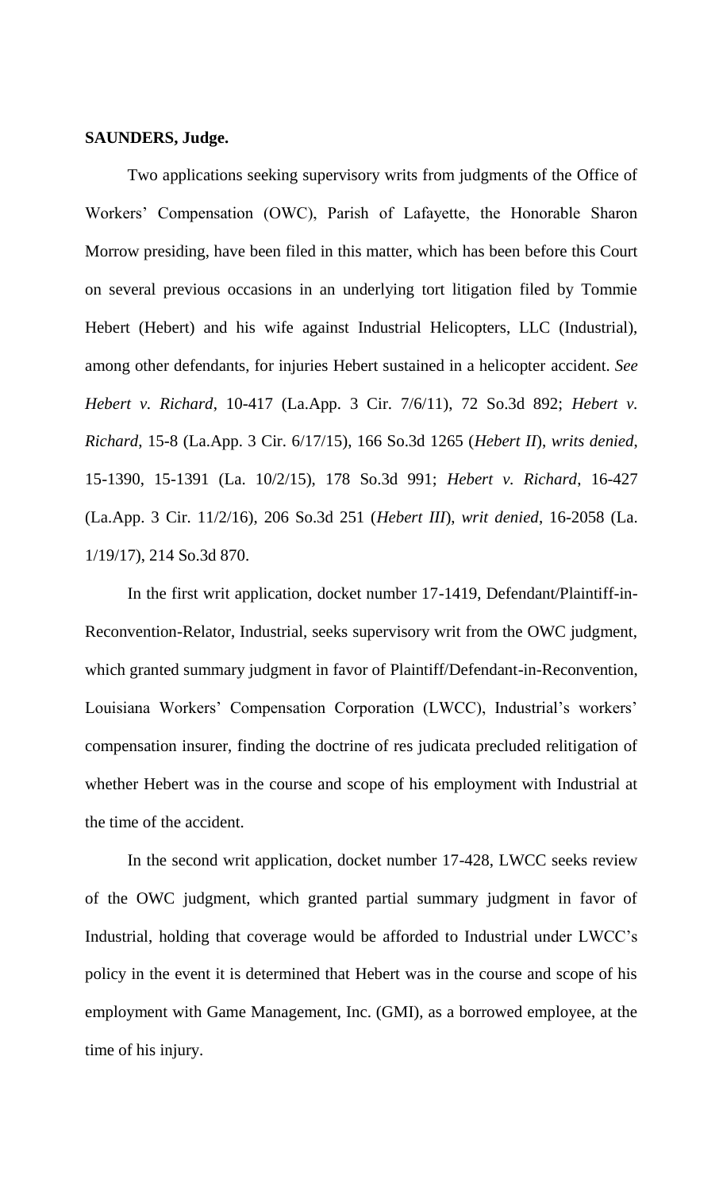## **SAUNDERS, Judge.**

Two applications seeking supervisory writs from judgments of the Office of Workers' Compensation (OWC), Parish of Lafayette, the Honorable Sharon Morrow presiding, have been filed in this matter, which has been before this Court on several previous occasions in an underlying tort litigation filed by Tommie Hebert (Hebert) and his wife against Industrial Helicopters, LLC (Industrial), among other defendants, for injuries Hebert sustained in a helicopter accident. *See Hebert v. Richard*, 10-417 (La.App. 3 Cir. 7/6/11), 72 So.3d 892; *Hebert v. Richard*, 15-8 (La.App. 3 Cir. 6/17/15), 166 So.3d 1265 (*Hebert II*), *writs denied*, 15-1390, 15-1391 (La. 10/2/15), 178 So.3d 991; *Hebert v. Richard*, 16-427 (La.App. 3 Cir. 11/2/16), 206 So.3d 251 (*Hebert III*), *writ denied*, 16-2058 (La. 1/19/17), 214 So.3d 870.

In the first writ application, docket number 17-1419, Defendant/Plaintiff-in-Reconvention-Relator, Industrial, seeks supervisory writ from the OWC judgment, which granted summary judgment in favor of Plaintiff/Defendant-in-Reconvention, Louisiana Workers' Compensation Corporation (LWCC), Industrial's workers' compensation insurer, finding the doctrine of res judicata precluded relitigation of whether Hebert was in the course and scope of his employment with Industrial at the time of the accident.

In the second writ application, docket number 17-428, LWCC seeks review of the OWC judgment, which granted partial summary judgment in favor of Industrial, holding that coverage would be afforded to Industrial under LWCC's policy in the event it is determined that Hebert was in the course and scope of his employment with Game Management, Inc. (GMI), as a borrowed employee, at the time of his injury.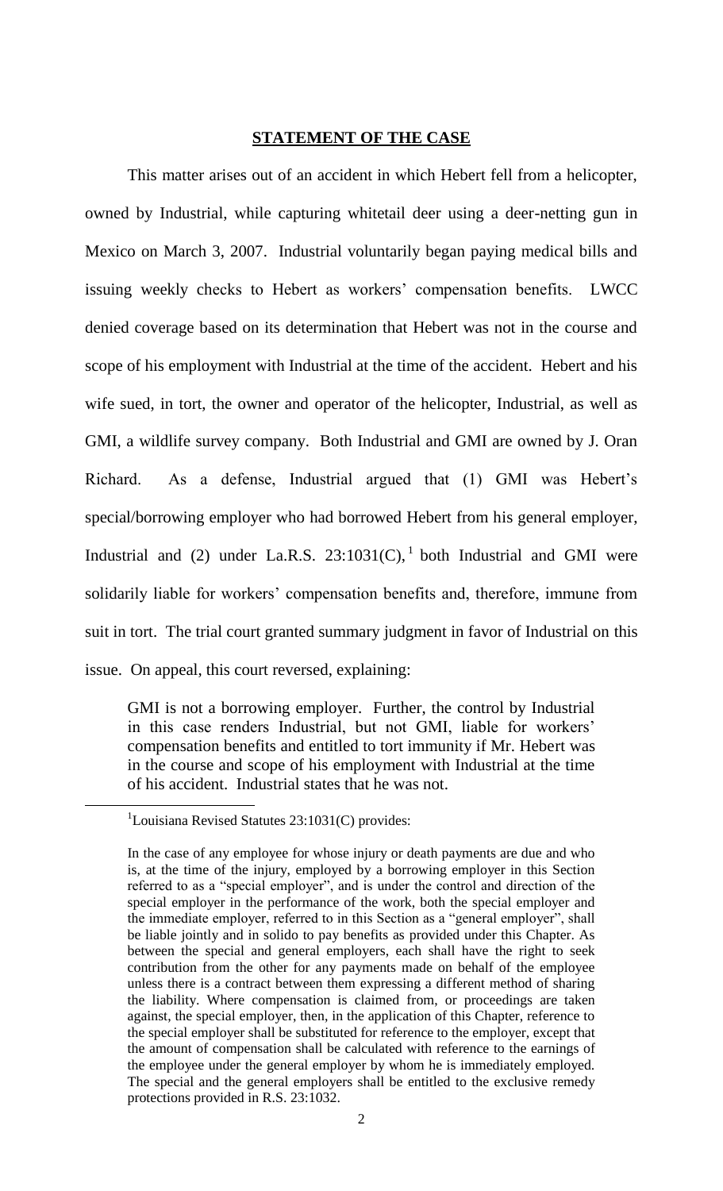## **STATEMENT OF THE CASE**

This matter arises out of an accident in which Hebert fell from a helicopter, owned by Industrial, while capturing whitetail deer using a deer-netting gun in Mexico on March 3, 2007. Industrial voluntarily began paying medical bills and issuing weekly checks to Hebert as workers' compensation benefits. LWCC denied coverage based on its determination that Hebert was not in the course and scope of his employment with Industrial at the time of the accident. Hebert and his wife sued, in tort, the owner and operator of the helicopter, Industrial, as well as GMI, a wildlife survey company. Both Industrial and GMI are owned by J. Oran Richard. As a defense, Industrial argued that (1) GMI was Hebert's special/borrowing employer who had borrowed Hebert from his general employer, Industrial and (2) under La.R.S.  $23:1031(C)$ , both Industrial and GMI were solidarily liable for workers' compensation benefits and, therefore, immune from suit in tort. The trial court granted summary judgment in favor of Industrial on this issue. On appeal, this court reversed, explaining:

GMI is not a borrowing employer. Further, the control by Industrial in this case renders Industrial, but not GMI, liable for workers' compensation benefits and entitled to tort immunity if Mr. Hebert was in the course and scope of his employment with Industrial at the time of his accident. Industrial states that he was not.

 $\overline{a}$ 

<sup>&</sup>lt;sup>1</sup>Louisiana Revised Statutes  $23:1031(C)$  provides:

In the case of any employee for whose injury or death payments are due and who is, at the time of the injury, employed by a borrowing employer in this Section referred to as a "special employer", and is under the control and direction of the special employer in the performance of the work, both the special employer and the immediate employer, referred to in this Section as a "general employer", shall be liable jointly and in solido to pay benefits as provided under this Chapter. As between the special and general employers, each shall have the right to seek contribution from the other for any payments made on behalf of the employee unless there is a contract between them expressing a different method of sharing the liability. Where compensation is claimed from, or proceedings are taken against, the special employer, then, in the application of this Chapter, reference to the special employer shall be substituted for reference to the employer, except that the amount of compensation shall be calculated with reference to the earnings of the employee under the general employer by whom he is immediately employed. The special and the general employers shall be entitled to the exclusive remedy protections provided in R.S. 23:1032.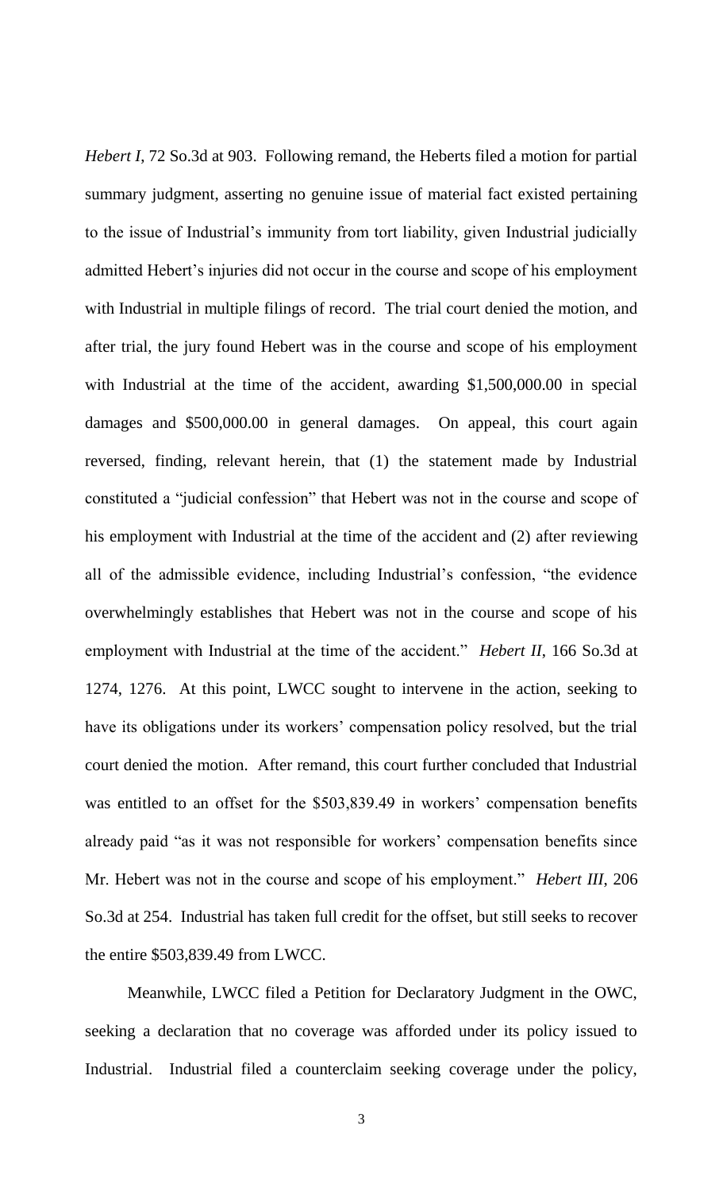*Hebert I*, 72 So.3d at 903. Following remand, the Heberts filed a motion for partial summary judgment, asserting no genuine issue of material fact existed pertaining to the issue of Industrial's immunity from tort liability, given Industrial judicially admitted Hebert's injuries did not occur in the course and scope of his employment with Industrial in multiple filings of record. The trial court denied the motion, and after trial, the jury found Hebert was in the course and scope of his employment with Industrial at the time of the accident, awarding \$1,500,000.00 in special damages and \$500,000.00 in general damages. On appeal, this court again reversed, finding, relevant herein, that (1) the statement made by Industrial constituted a "judicial confession" that Hebert was not in the course and scope of his employment with Industrial at the time of the accident and (2) after reviewing all of the admissible evidence, including Industrial's confession, "the evidence overwhelmingly establishes that Hebert was not in the course and scope of his employment with Industrial at the time of the accident." *Hebert II*, 166 So.3d at 1274, 1276. At this point, LWCC sought to intervene in the action, seeking to have its obligations under its workers' compensation policy resolved, but the trial court denied the motion. After remand, this court further concluded that Industrial was entitled to an offset for the \$503,839.49 in workers' compensation benefits already paid "as it was not responsible for workers' compensation benefits since Mr. Hebert was not in the course and scope of his employment." *Hebert III*, 206 So.3d at 254. Industrial has taken full credit for the offset, but still seeks to recover the entire \$503,839.49 from LWCC.

Meanwhile, LWCC filed a Petition for Declaratory Judgment in the OWC, seeking a declaration that no coverage was afforded under its policy issued to Industrial. Industrial filed a counterclaim seeking coverage under the policy,

3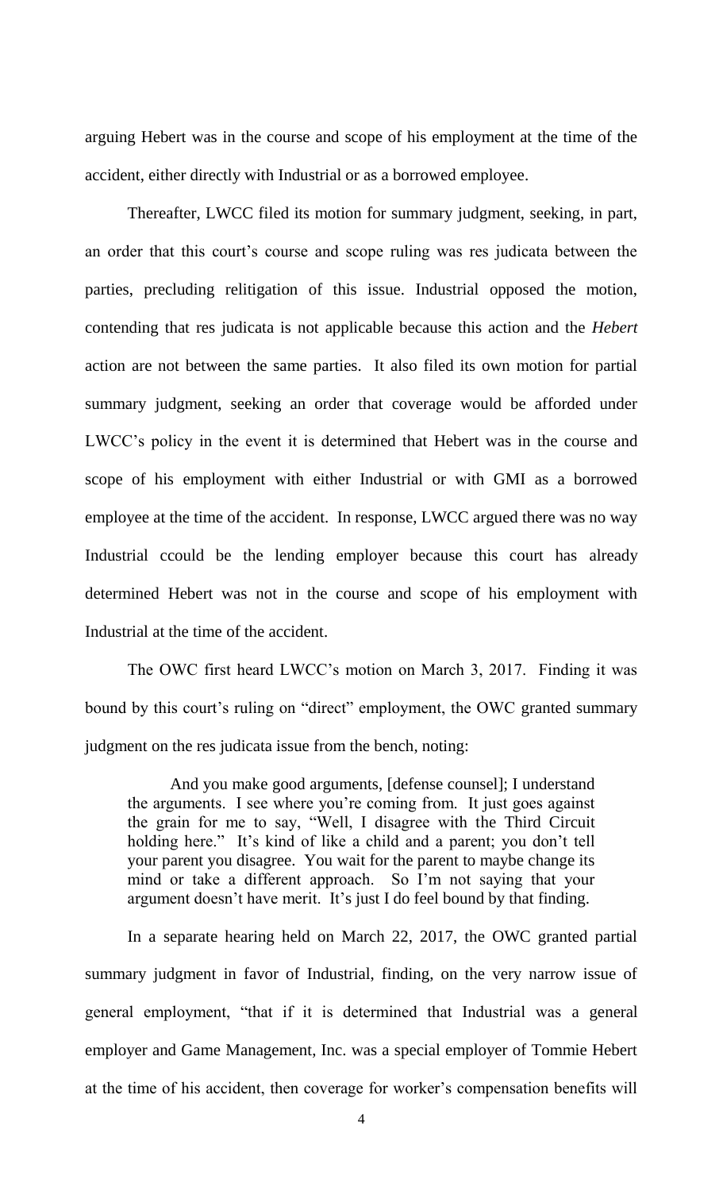arguing Hebert was in the course and scope of his employment at the time of the accident, either directly with Industrial or as a borrowed employee.

Thereafter, LWCC filed its motion for summary judgment, seeking, in part, an order that this court's course and scope ruling was res judicata between the parties, precluding relitigation of this issue. Industrial opposed the motion, contending that res judicata is not applicable because this action and the *Hebert* action are not between the same parties. It also filed its own motion for partial summary judgment, seeking an order that coverage would be afforded under LWCC's policy in the event it is determined that Hebert was in the course and scope of his employment with either Industrial or with GMI as a borrowed employee at the time of the accident. In response, LWCC argued there was no way Industrial ccould be the lending employer because this court has already determined Hebert was not in the course and scope of his employment with Industrial at the time of the accident.

The OWC first heard LWCC's motion on March 3, 2017. Finding it was bound by this court's ruling on "direct" employment, the OWC granted summary judgment on the res judicata issue from the bench, noting:

And you make good arguments, [defense counsel]; I understand the arguments. I see where you're coming from. It just goes against the grain for me to say, "Well, I disagree with the Third Circuit holding here." It's kind of like a child and a parent; you don't tell your parent you disagree. You wait for the parent to maybe change its mind or take a different approach. So I'm not saying that your argument doesn't have merit. It's just I do feel bound by that finding.

In a separate hearing held on March 22, 2017, the OWC granted partial summary judgment in favor of Industrial, finding, on the very narrow issue of general employment, "that if it is determined that Industrial was a general employer and Game Management, Inc. was a special employer of Tommie Hebert at the time of his accident, then coverage for worker's compensation benefits will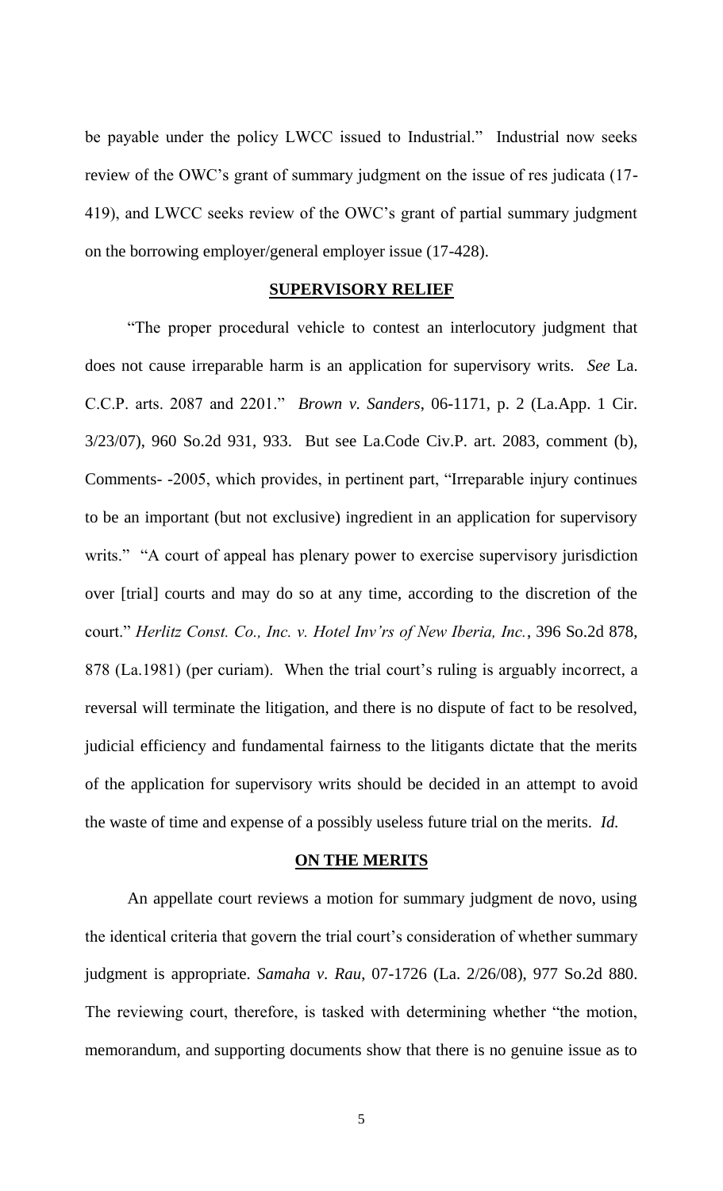be payable under the policy LWCC issued to Industrial." Industrial now seeks review of the OWC's grant of summary judgment on the issue of res judicata (17- 419), and LWCC seeks review of the OWC's grant of partial summary judgment on the borrowing employer/general employer issue (17-428).

#### **SUPERVISORY RELIEF**

"The proper procedural vehicle to contest an interlocutory judgment that does not cause irreparable harm is an application for supervisory writs. *See* La. C.C.P. arts. 2087 and 2201." *Brown v. Sanders*, 06-1171, p. 2 (La.App. 1 Cir. 3/23/07), 960 So.2d 931, 933. But see La.Code Civ.P. art. 2083, comment (b), Comments- -2005, which provides, in pertinent part, "Irreparable injury continues to be an important (but not exclusive) ingredient in an application for supervisory writs." "A court of appeal has plenary power to exercise supervisory jurisdiction over [trial] courts and may do so at any time, according to the discretion of the court." *Herlitz Const. Co., Inc. v. Hotel Inv'rs of New Iberia, Inc.*, 396 So.2d 878, 878 (La.1981) (per curiam). When the trial court's ruling is arguably incorrect, a reversal will terminate the litigation, and there is no dispute of fact to be resolved, judicial efficiency and fundamental fairness to the litigants dictate that the merits of the application for supervisory writs should be decided in an attempt to avoid the waste of time and expense of a possibly useless future trial on the merits. *Id.*

#### **ON THE MERITS**

An appellate court reviews a motion for summary judgment de novo, using the identical criteria that govern the trial court's consideration of whether summary judgment is appropriate. *Samaha v. Rau*, 07-1726 (La. 2/26/08), 977 So.2d 880. The reviewing court, therefore, is tasked with determining whether "the motion, memorandum, and supporting documents show that there is no genuine issue as to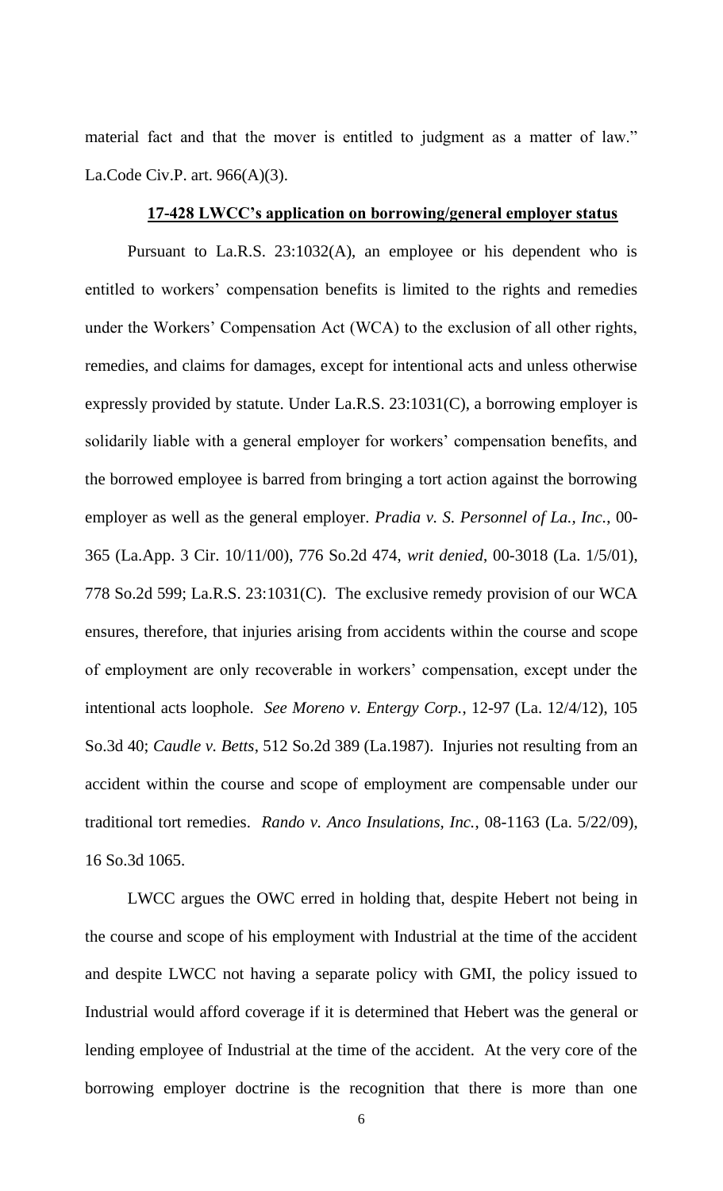material fact and that the mover is entitled to judgment as a matter of law." La.Code Civ.P. art. 966(A)(3).

#### **17-428 LWCC's application on borrowing/general employer status**

Pursuant to La.R.S. 23:1032(A), an employee or his dependent who is entitled to workers' compensation benefits is limited to the rights and remedies under the Workers' Compensation Act (WCA) to the exclusion of all other rights, remedies, and claims for damages, except for intentional acts and unless otherwise expressly provided by statute. Under La.R.S. 23:1031(C), a borrowing employer is solidarily liable with a general employer for workers' compensation benefits, and the borrowed employee is barred from bringing a tort action against the borrowing employer as well as the general employer. *Pradia v. S. Personnel of La., Inc.*, 00- 365 (La.App. 3 Cir. 10/11/00), 776 So.2d 474, *writ denied*, 00-3018 (La. 1/5/01), 778 So.2d 599; La.R.S. 23:1031(C). The exclusive remedy provision of our WCA ensures, therefore, that injuries arising from accidents within the course and scope of employment are only recoverable in workers' compensation, except under the intentional acts loophole. *See Moreno v. Entergy Corp.*, 12-97 (La. 12/4/12), 105 So.3d 40; *Caudle v. Betts*, 512 So.2d 389 (La.1987). Injuries not resulting from an accident within the course and scope of employment are compensable under our traditional tort remedies. *Rando v. Anco Insulations, Inc.*, 08-1163 (La. 5/22/09), 16 So.3d 1065.

LWCC argues the OWC erred in holding that, despite Hebert not being in the course and scope of his employment with Industrial at the time of the accident and despite LWCC not having a separate policy with GMI, the policy issued to Industrial would afford coverage if it is determined that Hebert was the general or lending employee of Industrial at the time of the accident. At the very core of the borrowing employer doctrine is the recognition that there is more than one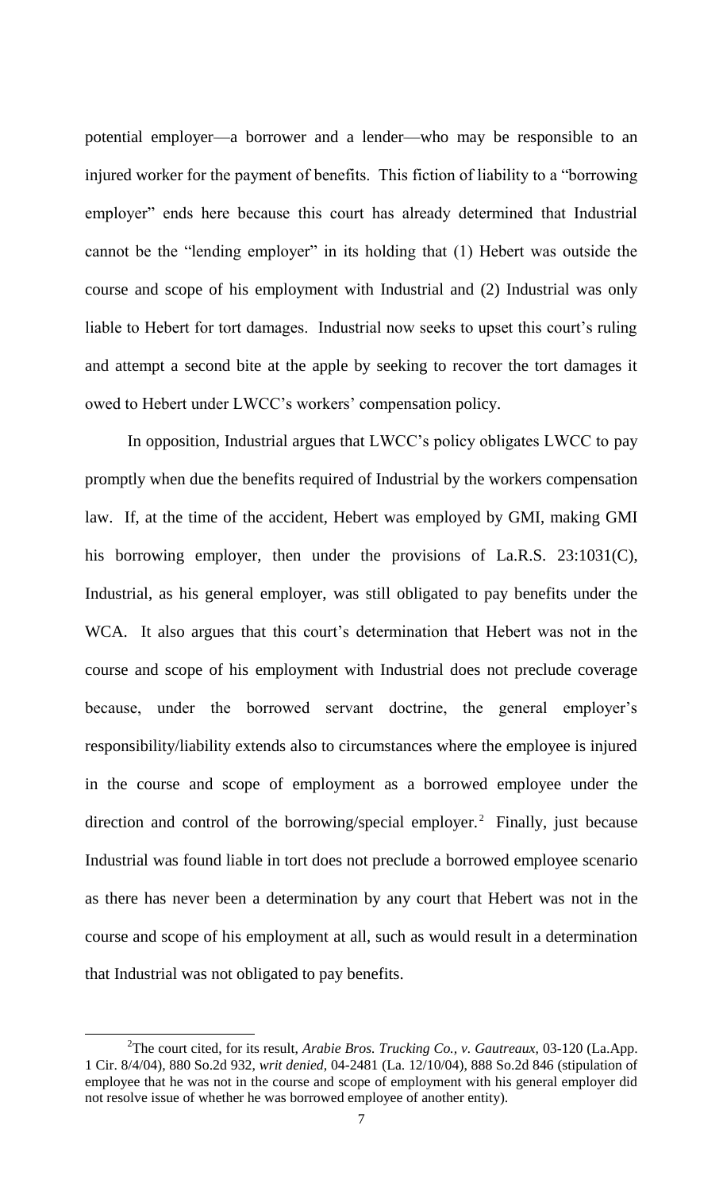potential employer—a borrower and a lender—who may be responsible to an injured worker for the payment of benefits. This fiction of liability to a "borrowing employer" ends here because this court has already determined that Industrial cannot be the "lending employer" in its holding that (1) Hebert was outside the course and scope of his employment with Industrial and (2) Industrial was only liable to Hebert for tort damages. Industrial now seeks to upset this court's ruling and attempt a second bite at the apple by seeking to recover the tort damages it owed to Hebert under LWCC's workers' compensation policy.

In opposition, Industrial argues that LWCC's policy obligates LWCC to pay promptly when due the benefits required of Industrial by the workers compensation law. If, at the time of the accident, Hebert was employed by GMI, making GMI his borrowing employer, then under the provisions of La.R.S. 23:1031(C), Industrial, as his general employer, was still obligated to pay benefits under the WCA. It also argues that this court's determination that Hebert was not in the course and scope of his employment with Industrial does not preclude coverage because, under the borrowed servant doctrine, the general employer's responsibility/liability extends also to circumstances where the employee is injured in the course and scope of employment as a borrowed employee under the direction and control of the borrowing/special employer.<sup>2</sup> Finally, just because Industrial was found liable in tort does not preclude a borrowed employee scenario as there has never been a determination by any court that Hebert was not in the course and scope of his employment at all, such as would result in a determination that Industrial was not obligated to pay benefits.

 $\overline{a}$ 

<sup>2</sup> The court cited, for its result, *Arabie Bros. Trucking Co., v. Gautreaux*, 03-120 (La.App. 1 Cir. 8/4/04), 880 So.2d 932, *writ denied*, 04-2481 (La. 12/10/04), 888 So.2d 846 (stipulation of employee that he was not in the course and scope of employment with his general employer did not resolve issue of whether he was borrowed employee of another entity).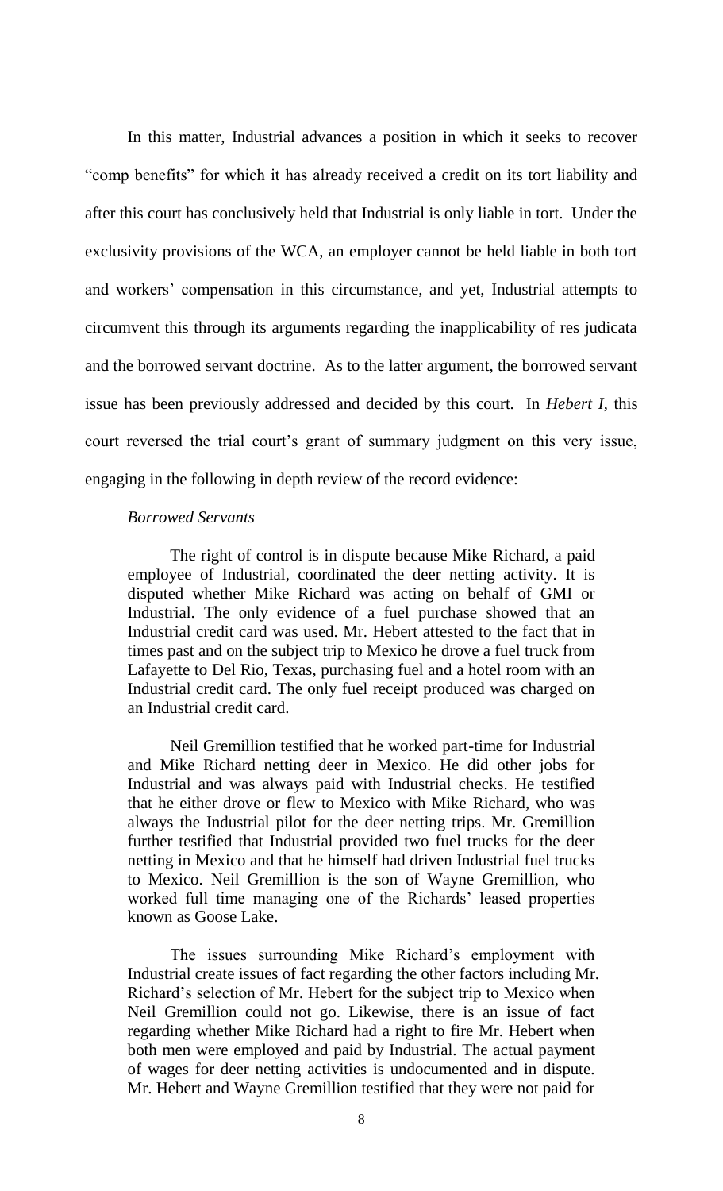In this matter, Industrial advances a position in which it seeks to recover "comp benefits" for which it has already received a credit on its tort liability and after this court has conclusively held that Industrial is only liable in tort. Under the exclusivity provisions of the WCA, an employer cannot be held liable in both tort and workers' compensation in this circumstance, and yet, Industrial attempts to circumvent this through its arguments regarding the inapplicability of res judicata and the borrowed servant doctrine. As to the latter argument, the borrowed servant issue has been previously addressed and decided by this court. In *Hebert I*, this court reversed the trial court's grant of summary judgment on this very issue, engaging in the following in depth review of the record evidence:

## *Borrowed Servants*

The right of control is in dispute because Mike Richard, a paid employee of Industrial, coordinated the deer netting activity. It is disputed whether Mike Richard was acting on behalf of GMI or Industrial. The only evidence of a fuel purchase showed that an Industrial credit card was used. Mr. Hebert attested to the fact that in times past and on the subject trip to Mexico he drove a fuel truck from Lafayette to Del Rio, Texas, purchasing fuel and a hotel room with an Industrial credit card. The only fuel receipt produced was charged on an Industrial credit card.

Neil Gremillion testified that he worked part-time for Industrial and Mike Richard netting deer in Mexico. He did other jobs for Industrial and was always paid with Industrial checks. He testified that he either drove or flew to Mexico with Mike Richard, who was always the Industrial pilot for the deer netting trips. Mr. Gremillion further testified that Industrial provided two fuel trucks for the deer netting in Mexico and that he himself had driven Industrial fuel trucks to Mexico. Neil Gremillion is the son of Wayne Gremillion, who worked full time managing one of the Richards' leased properties known as Goose Lake.

The issues surrounding Mike Richard's employment with Industrial create issues of fact regarding the other factors including Mr. Richard's selection of Mr. Hebert for the subject trip to Mexico when Neil Gremillion could not go. Likewise, there is an issue of fact regarding whether Mike Richard had a right to fire Mr. Hebert when both men were employed and paid by Industrial. The actual payment of wages for deer netting activities is undocumented and in dispute. Mr. Hebert and Wayne Gremillion testified that they were not paid for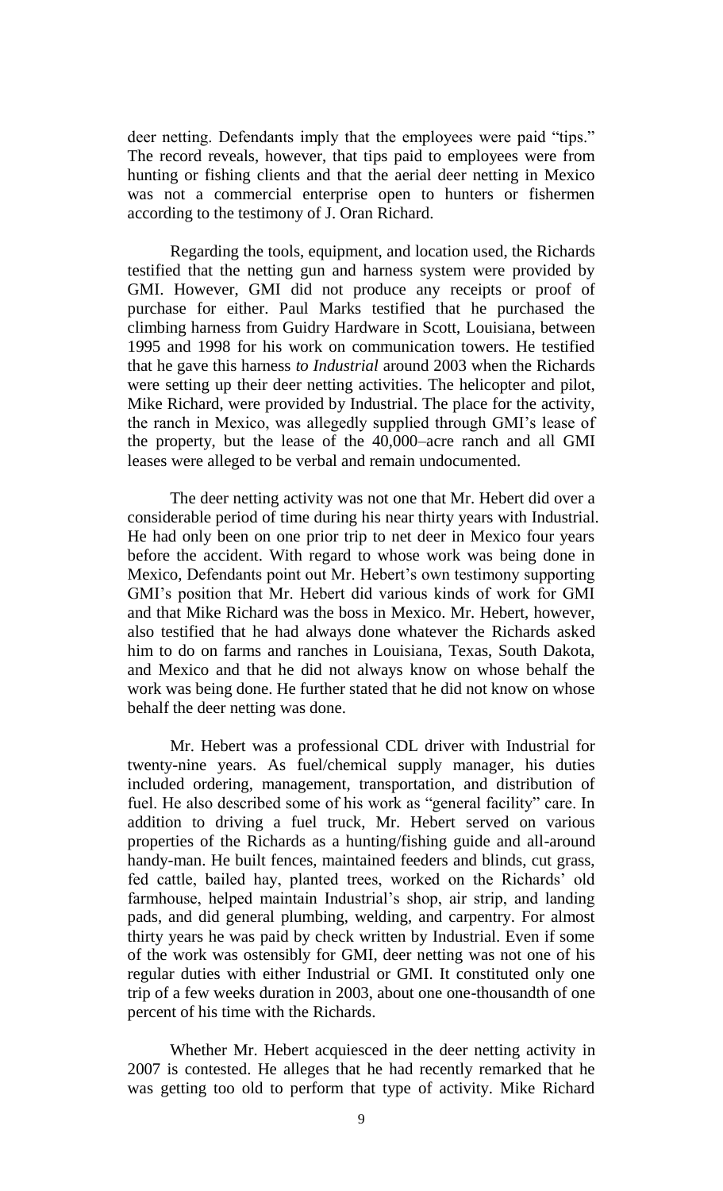deer netting. Defendants imply that the employees were paid "tips." The record reveals, however, that tips paid to employees were from hunting or fishing clients and that the aerial deer netting in Mexico was not a commercial enterprise open to hunters or fishermen according to the testimony of J. Oran Richard.

Regarding the tools, equipment, and location used, the Richards testified that the netting gun and harness system were provided by GMI. However, GMI did not produce any receipts or proof of purchase for either. Paul Marks testified that he purchased the climbing harness from Guidry Hardware in Scott, Louisiana, between 1995 and 1998 for his work on communication towers. He testified that he gave this harness *to Industrial* around 2003 when the Richards were setting up their deer netting activities. The helicopter and pilot, Mike Richard, were provided by Industrial. The place for the activity, the ranch in Mexico, was allegedly supplied through GMI's lease of the property, but the lease of the 40,000–acre ranch and all GMI leases were alleged to be verbal and remain undocumented.

The deer netting activity was not one that Mr. Hebert did over a considerable period of time during his near thirty years with Industrial. He had only been on one prior trip to net deer in Mexico four years before the accident. With regard to whose work was being done in Mexico, Defendants point out Mr. Hebert's own testimony supporting GMI's position that Mr. Hebert did various kinds of work for GMI and that Mike Richard was the boss in Mexico. Mr. Hebert, however, also testified that he had always done whatever the Richards asked him to do on farms and ranches in Louisiana, Texas, South Dakota, and Mexico and that he did not always know on whose behalf the work was being done. He further stated that he did not know on whose behalf the deer netting was done.

Mr. Hebert was a professional CDL driver with Industrial for twenty-nine years. As fuel/chemical supply manager, his duties included ordering, management, transportation, and distribution of fuel. He also described some of his work as "general facility" care. In addition to driving a fuel truck, Mr. Hebert served on various properties of the Richards as a hunting/fishing guide and all-around handy-man. He built fences, maintained feeders and blinds, cut grass, fed cattle, bailed hay, planted trees, worked on the Richards' old farmhouse, helped maintain Industrial's shop, air strip, and landing pads, and did general plumbing, welding, and carpentry. For almost thirty years he was paid by check written by Industrial. Even if some of the work was ostensibly for GMI, deer netting was not one of his regular duties with either Industrial or GMI. It constituted only one trip of a few weeks duration in 2003, about one one-thousandth of one percent of his time with the Richards.

Whether Mr. Hebert acquiesced in the deer netting activity in 2007 is contested. He alleges that he had recently remarked that he was getting too old to perform that type of activity. Mike Richard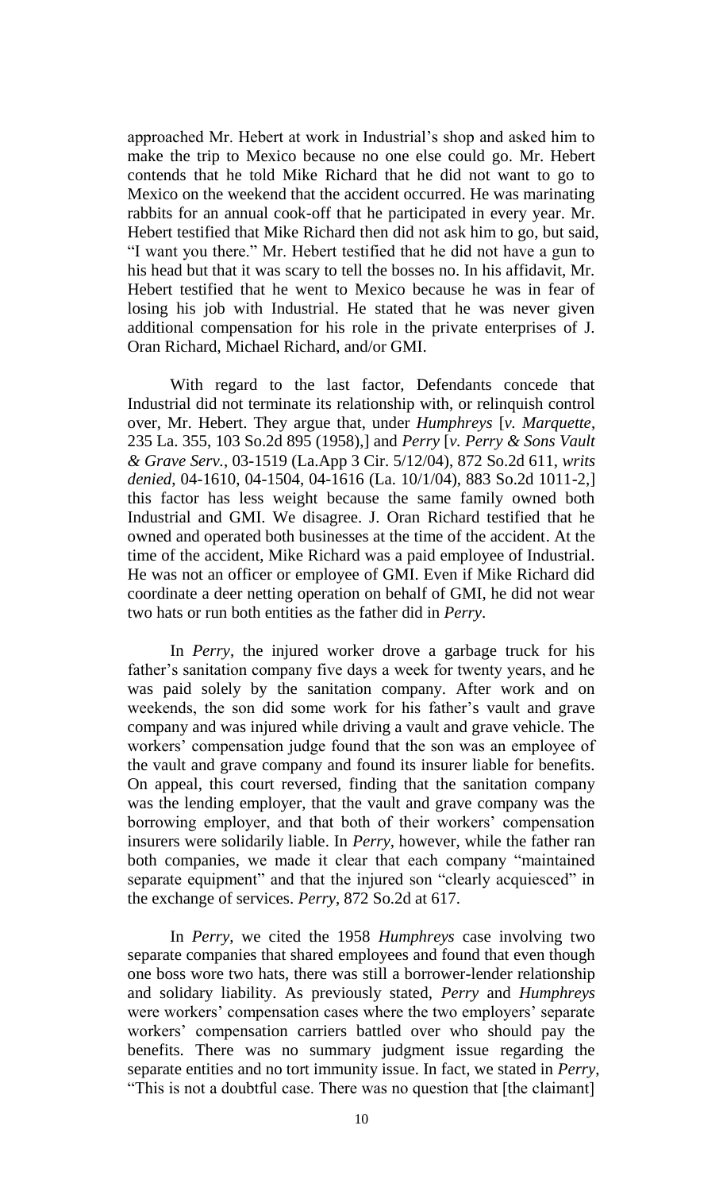approached Mr. Hebert at work in Industrial's shop and asked him to make the trip to Mexico because no one else could go. Mr. Hebert contends that he told Mike Richard that he did not want to go to Mexico on the weekend that the accident occurred. He was marinating rabbits for an annual cook-off that he participated in every year. Mr. Hebert testified that Mike Richard then did not ask him to go, but said, "I want you there." Mr. Hebert testified that he did not have a gun to his head but that it was scary to tell the bosses no. In his affidavit, Mr. Hebert testified that he went to Mexico because he was in fear of losing his job with Industrial. He stated that he was never given additional compensation for his role in the private enterprises of J. Oran Richard, Michael Richard, and/or GMI.

With regard to the last factor, Defendants concede that Industrial did not terminate its relationship with, or relinquish control over, Mr. Hebert. They argue that, under *Humphreys* [*v. Marquette*, 235 La. 355, 103 So.2d 895 (1958),] and *Perry* [*v. Perry & Sons Vault & Grave Serv.*, 03-1519 (La.App 3 Cir. 5/12/04), 872 So.2d 611, *writs denied*, 04-1610, 04-1504, 04-1616 (La. 10/1/04), 883 So.2d 1011-2,] this factor has less weight because the same family owned both Industrial and GMI. We disagree. J. Oran Richard testified that he owned and operated both businesses at the time of the accident. At the time of the accident, Mike Richard was a paid employee of Industrial. He was not an officer or employee of GMI. Even if Mike Richard did coordinate a deer netting operation on behalf of GMI, he did not wear two hats or run both entities as the father did in *Perry*.

In *Perry*, the injured worker drove a garbage truck for his father's sanitation company five days a week for twenty years, and he was paid solely by the sanitation company. After work and on weekends, the son did some work for his father's vault and grave company and was injured while driving a vault and grave vehicle. The workers' compensation judge found that the son was an employee of the vault and grave company and found its insurer liable for benefits. On appeal, this court reversed, finding that the sanitation company was the lending employer, that the vault and grave company was the borrowing employer, and that both of their workers' compensation insurers were solidarily liable. In *Perry*, however, while the father ran both companies, we made it clear that each company "maintained separate equipment" and that the injured son "clearly acquiesced" in the exchange of services. *Perry*, 872 So.2d at 617.

In *Perry*, we cited the 1958 *Humphreys* case involving two separate companies that shared employees and found that even though one boss wore two hats, there was still a borrower-lender relationship and solidary liability. As previously stated, *Perry* and *Humphreys* were workers' compensation cases where the two employers' separate workers' compensation carriers battled over who should pay the benefits. There was no summary judgment issue regarding the separate entities and no tort immunity issue. In fact, we stated in *Perry*, "This is not a doubtful case. There was no question that [the claimant]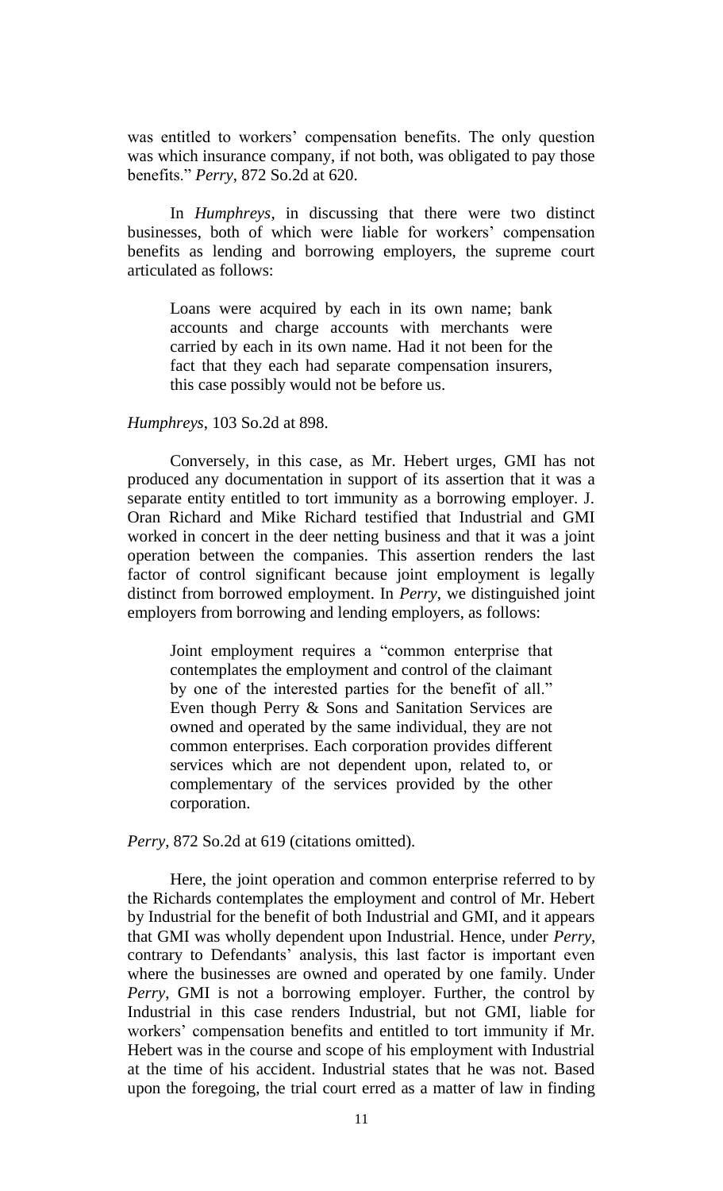was entitled to workers' compensation benefits. The only question was which insurance company, if not both, was obligated to pay those benefits." *Perry*, 872 So.2d at 620.

In *Humphreys*, in discussing that there were two distinct businesses, both of which were liable for workers' compensation benefits as lending and borrowing employers, the supreme court articulated as follows:

Loans were acquired by each in its own name; bank accounts and charge accounts with merchants were carried by each in its own name. Had it not been for the fact that they each had separate compensation insurers, this case possibly would not be before us.

#### *Humphreys*, 103 So.2d at 898.

Conversely, in this case, as Mr. Hebert urges, GMI has not produced any documentation in support of its assertion that it was a separate entity entitled to tort immunity as a borrowing employer. J. Oran Richard and Mike Richard testified that Industrial and GMI worked in concert in the deer netting business and that it was a joint operation between the companies. This assertion renders the last factor of control significant because joint employment is legally distinct from borrowed employment. In *Perry*, we distinguished joint employers from borrowing and lending employers, as follows:

Joint employment requires a "common enterprise that contemplates the employment and control of the claimant by one of the interested parties for the benefit of all." Even though Perry & Sons and Sanitation Services are owned and operated by the same individual, they are not common enterprises. Each corporation provides different services which are not dependent upon, related to, or complementary of the services provided by the other corporation.

*Perry*, 872 So.2d at 619 (citations omitted).

Here, the joint operation and common enterprise referred to by the Richards contemplates the employment and control of Mr. Hebert by Industrial for the benefit of both Industrial and GMI, and it appears that GMI was wholly dependent upon Industrial. Hence, under *Perry*, contrary to Defendants' analysis, this last factor is important even where the businesses are owned and operated by one family. Under *Perry*, GMI is not a borrowing employer. Further, the control by Industrial in this case renders Industrial, but not GMI, liable for workers' compensation benefits and entitled to tort immunity if Mr. Hebert was in the course and scope of his employment with Industrial at the time of his accident. Industrial states that he was not. Based upon the foregoing, the trial court erred as a matter of law in finding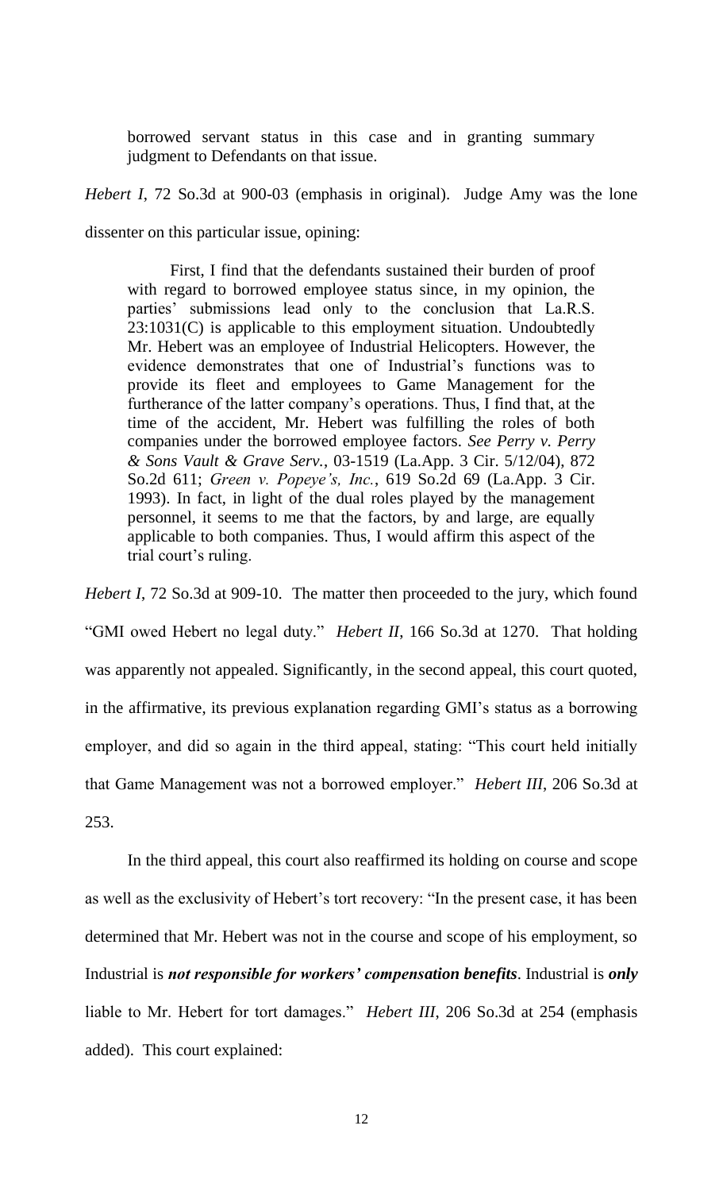borrowed servant status in this case and in granting summary judgment to Defendants on that issue.

*Hebert I*, 72 So.3d at 900-03 (emphasis in original). Judge Amy was the lone dissenter on this particular issue, opining:

First, I find that the defendants sustained their burden of proof with regard to borrowed employee status since, in my opinion, the parties' submissions lead only to the conclusion that La.R.S. 23:1031(C) is applicable to this employment situation. Undoubtedly Mr. Hebert was an employee of Industrial Helicopters. However, the evidence demonstrates that one of Industrial's functions was to provide its fleet and employees to Game Management for the furtherance of the latter company's operations. Thus, I find that, at the time of the accident, Mr. Hebert was fulfilling the roles of both companies under the borrowed employee factors. *See Perry v. Perry & Sons Vault & Grave Serv.*, 03-1519 (La.App. 3 Cir. 5/12/04), 872 So.2d 611; *Green v. Popeye's, Inc.*, 619 So.2d 69 (La.App. 3 Cir. 1993). In fact, in light of the dual roles played by the management personnel, it seems to me that the factors, by and large, are equally applicable to both companies. Thus, I would affirm this aspect of the trial court's ruling.

*Hebert I*, 72 So.3d at 909-10. The matter then proceeded to the jury, which found "GMI owed Hebert no legal duty." *Hebert II*, 166 So.3d at 1270. That holding was apparently not appealed. Significantly, in the second appeal, this court quoted, in the affirmative, its previous explanation regarding GMI's status as a borrowing employer, and did so again in the third appeal, stating: "This court held initially that Game Management was not a borrowed employer." *Hebert III*, 206 So.3d at 253.

In the third appeal, this court also reaffirmed its holding on course and scope as well as the exclusivity of Hebert's tort recovery: "In the present case, it has been determined that Mr. Hebert was not in the course and scope of his employment, so Industrial is *not responsible for workers' compensation benefits*. Industrial is *only* liable to Mr. Hebert for tort damages." *Hebert III*, 206 So.3d at 254 (emphasis added). This court explained: